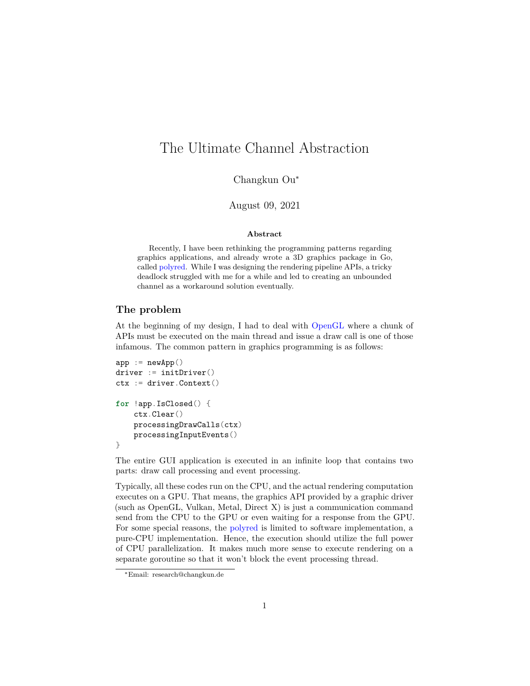# The Ultimate Channel Abstraction

Changkun Ou<sup>∗</sup>

August 09, 2021

#### **Abstract**

Recently, I have been rethinking the programming patterns regarding graphics applications, and already wrote a 3D graphics package in Go, called [polyred](https://poly.red). While I was designing the rendering pipeline APIs, a tricky deadlock struggled with me for a while and led to creating an unbounded channel as a workaround solution eventually.

### **The problem**

At the beginning of my design, I had to deal with [OpenGL](https://github.com/go-gl/gl) where a chunk of APIs must be executed on the main thread and issue a draw call is one of those infamous. The common pattern in graphics programming is as follows:

```
app := newApp()driver := initDriver()
ctx := driver.Context()
for !app.IsClosed() {
    ctx.Clear()
    processingDrawCalls(ctx)
    processingInputEvents()
}
```
The entire GUI application is executed in an infinite loop that contains two parts: draw call processing and event processing.

Typically, all these codes run on the CPU, and the actual rendering computation executes on a GPU. That means, the graphics API provided by a graphic driver (such as OpenGL, Vulkan, Metal, Direct X) is just a communication command send from the CPU to the GPU or even waiting for a response from the GPU. For some special reasons, the [polyred](https://poly.red) is limited to software implementation, a pure-CPU implementation. Hence, the execution should utilize the full power of CPU parallelization. It makes much more sense to execute rendering on a separate goroutine so that it won't block the event processing thread.

<sup>∗</sup>Email: research@changkun.de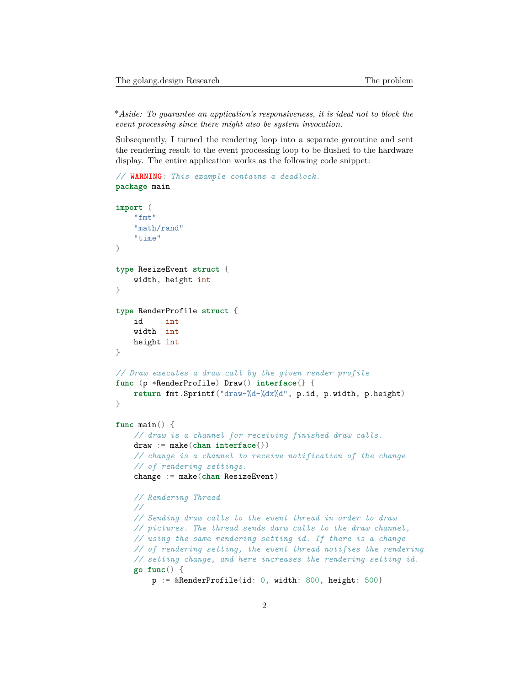\**Aside: To guarantee an application's responsiveness, it is ideal not to block the event processing since there might also be system invocation.*

Subsequently, I turned the rendering loop into a separate goroutine and sent the rendering result to the event processing loop to be flushed to the hardware display. The entire application works as the following code snippet:

```
// WARNING: This example contains a deadlock.
package main
import (
    "fmt"
    "math/rand"
    "time"
)
type ResizeEvent struct {
   width, height int
}
type RenderProfile struct {
   id int
   width int
   height int
}
// Draw executes a draw call by the given render profile
func (p *RenderProfile) Draw() interface{} {
   return fmt.Sprintf("draw-%d-%dx%d", p.id, p.width, p.height)
}
func main() {
    // draw is a channel for receiving finished draw calls.
   draw := make(chan interface{})
    // change is a channel to receive notification of the change
    // of rendering settings.
   change := make(chan ResizeEvent)
   // Rendering Thread
    //
    // Sending draw calls to the event thread in order to draw
    // pictures. The thread sends darw calls to the draw channel,
   // using the same rendering setting id. If there is a change
    // of rendering setting, the event thread notifies the rendering
   // setting change, and here increases the rendering setting id.
    go func() {
        p := &RenderProfile{id: 0, width: 800, height: 500}
```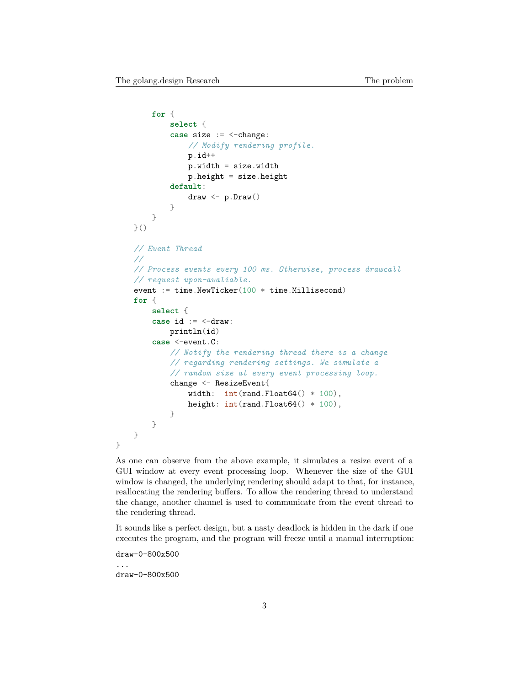```
for {
        select {
        case size := <-change:
            // Modify rendering profile.
            p.id++
            p.width = size.width
            p. height = size. heightdefault:
            draw <- p.Draw()
        }
    }
}()
// Event Thread
//
// Process events every 100 ms. Otherwise, process drawcall
// request upon-avaliable.
event := time.NewTicker(100 * time.Millisecond)
for {
    select {
    case id := <-draw:
        println(id)
    case <-event.C:
        // Notify the rendering thread there is a change
        // regarding rendering settings. We simulate a
        // random size at every event processing loop.
        change <- ResizeEvent{
            width: int(rand.Float64() * 100),
            height: int(rand.Float64() * 100),
        }
    }
}
```
As one can observe from the above example, it simulates a resize event of a GUI window at every event processing loop. Whenever the size of the GUI window is changed, the underlying rendering should adapt to that, for instance, reallocating the rendering buffers. To allow the rendering thread to understand the change, another channel is used to communicate from the event thread to the rendering thread.

It sounds like a perfect design, but a nasty deadlock is hidden in the dark if one executes the program, and the program will freeze until a manual interruption:

draw-0-800x500

...

}

draw-0-800x500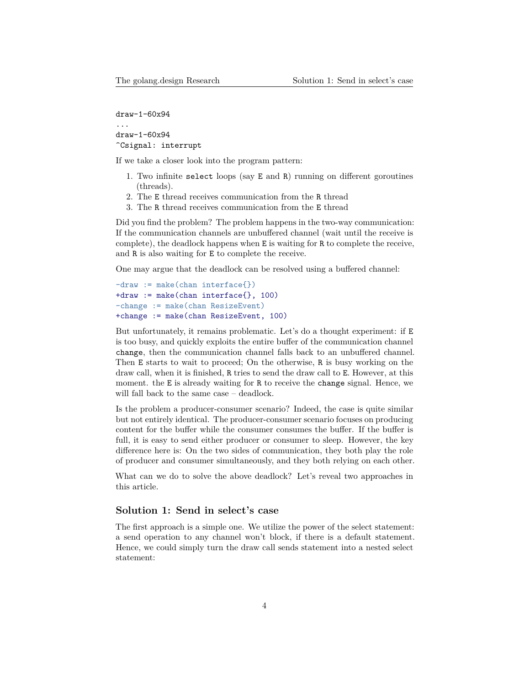```
draw-1-60x94
```
... draw-1-60x94 ^Csignal: interrupt

If we take a closer look into the program pattern:

- 1. Two infinite select loops (say E and R) running on different goroutines (threads).
- 2. The E thread receives communication from the R thread
- 3. The R thread receives communication from the E thread

Did you find the problem? The problem happens in the two-way communication: If the communication channels are unbuffered channel (wait until the receive is complete), the deadlock happens when E is waiting for R to complete the receive, and R is also waiting for E to complete the receive.

One may argue that the deadlock can be resolved using a buffered channel:

-draw := make(chan interface{}) +draw := make(chan interface{}, 100) -change := make(chan ResizeEvent) +change := make(chan ResizeEvent, 100)

But unfortunately, it remains problematic. Let's do a thought experiment: if E is too busy, and quickly exploits the entire buffer of the communication channel change, then the communication channel falls back to an unbuffered channel. Then E starts to wait to proceed; On the otherwise, R is busy working on the draw call, when it is finished, R tries to send the draw call to E. However, at this moment. the E is already waiting for R to receive the change signal. Hence, we will fall back to the same case – deadlock.

Is the problem a producer-consumer scenario? Indeed, the case is quite similar but not entirely identical. The producer-consumer scenario focuses on producing content for the buffer while the consumer consumes the buffer. If the buffer is full, it is easy to send either producer or consumer to sleep. However, the key difference here is: On the two sides of communication, they both play the role of producer and consumer simultaneously, and they both relying on each other.

What can we do to solve the above deadlock? Let's reveal two approaches in this article.

### **Solution 1: Send in select's case**

The first approach is a simple one. We utilize the power of the select statement: a send operation to any channel won't block, if there is a default statement. Hence, we could simply turn the draw call sends statement into a nested select statement: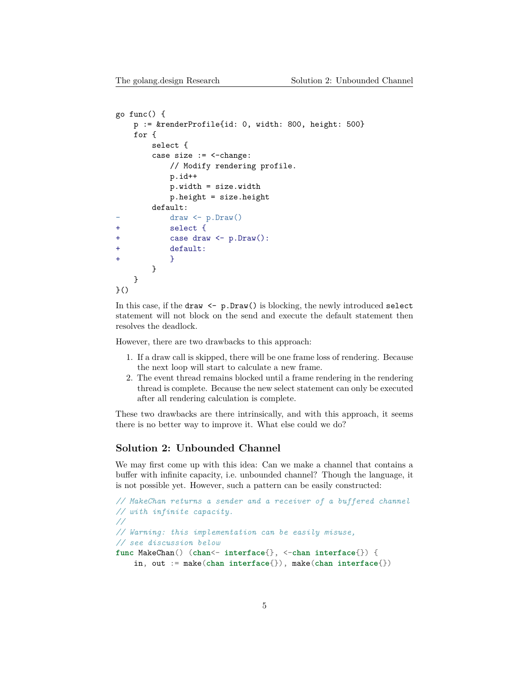```
go func() {
   p := &renderProfile{id: 0, width: 800, height: 500}
   for {
       select {
       case size := <-change:
           // Modify rendering profile.
           p.id++
           p.width = size.width
           p.height = size.height
       default:
           draw <- p.Draw()
+ select {
+ case draw <- p.Draw():
           default:
+ }
       }
   }
}()
```
In this case, if the draw  $\leq -p.Draw()$  is blocking, the newly introduced select statement will not block on the send and execute the default statement then resolves the deadlock.

However, there are two drawbacks to this approach:

- 1. If a draw call is skipped, there will be one frame loss of rendering. Because the next loop will start to calculate a new frame.
- 2. The event thread remains blocked until a frame rendering in the rendering thread is complete. Because the new select statement can only be executed after all rendering calculation is complete.

These two drawbacks are there intrinsically, and with this approach, it seems there is no better way to improve it. What else could we do?

#### **Solution 2: Unbounded Channel**

We may first come up with this idea: Can we make a channel that contains a buffer with infinite capacity, i.e. unbounded channel? Though the language, it is not possible yet. However, such a pattern can be easily constructed:

```
// MakeChan returns a sender and a receiver of a buffered channel
// with infinite capacity.
//
// Warning: this implementation can be easily misuse,
// see discussion below
func MakeChan() (chan<- interface{}, <-chan interface{}) {
    in, out := make(chan interface{}), make(chan interface{})
```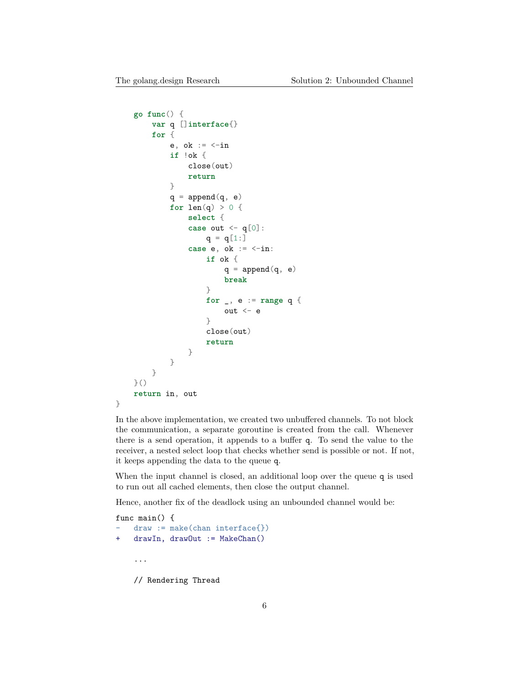```
go func() {
        var q []interface{}
        for {
            e, ok := \leftarrowin
            if !ok {
                 close(out)
                 return
            }
            q = append(q, e)for len(q) > 0 {
                 select {
                 case out <- q[0]:
                     q = q[1:]case e, ok := <-in:
                     if ok {
                         q = append(q, e)break
                     }
                     for _, e := range q {
                         out <-e}
                     close(out)
                     return
                 }
            }
        }
    }()
    return in, out
}
```
In the above implementation, we created two unbuffered channels. To not block the communication, a separate goroutine is created from the call. Whenever there is a send operation, it appends to a buffer q. To send the value to the receiver, a nested select loop that checks whether send is possible or not. If not, it keeps appending the data to the queue q.

When the input channel is closed, an additional loop over the queue q is used to run out all cached elements, then close the output channel.

Hence, another fix of the deadlock using an unbounded channel would be:

```
func main() {
    draw := make(char interface{}})+ drawIn, drawOut := MakeChan()
    ...
    // Rendering Thread
```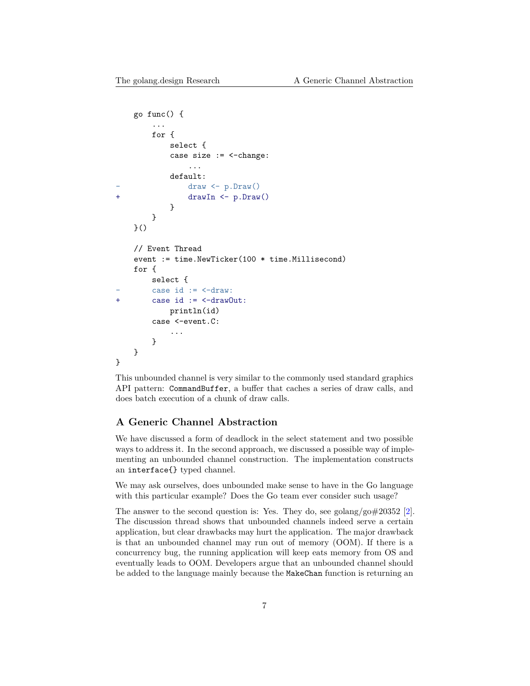```
go func() {
        ...
        for {
            select {
            case size := <-change:
                 ...
            default:
                draw \leftarrow p.Draw()+ drawIn <- p.Draw()
            }
        }
    }()
    // Event Thread
    event := time.NewTicker(100 * time.Millisecond)
    for {
        select {
        case id := \leftarrow draw:
+ case id := <-drawOut:
            println(id)
        case <-event.C:
             ...
        }
    }
}
```
This unbounded channel is very similar to the commonly used standard graphics API pattern: CommandBuffer, a buffer that caches a series of draw calls, and does batch execution of a chunk of draw calls.

#### **A Generic Channel Abstraction**

We have discussed a form of deadlock in the select statement and two possible ways to address it. In the second approach, we discussed a possible way of implementing an unbounded channel construction. The implementation constructs an interface{} typed channel.

We may ask ourselves, does unbounded make sense to have in the Go language with this particular example? Does the Go team ever consider such usage?

The answer to the second question is: Yes. They do, see golang/go#20352 [[2\]](#page-13-0). The discussion thread shows that unbounded channels indeed serve a certain application, but clear drawbacks may hurt the application. The major drawback is that an unbounded channel may run out of memory (OOM). If there is a concurrency bug, the running application will keep eats memory from OS and eventually leads to OOM. Developers argue that an unbounded channel should be added to the language mainly because the MakeChan function is returning an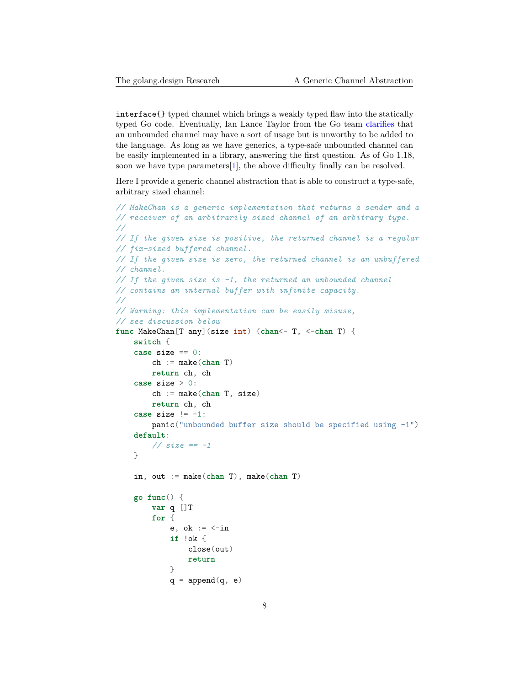interface{} typed channel which brings a weakly typed flaw into the statically typed Go code. Eventually, Ian Lance Taylor from the Go team [clarifies](https://golang.org/issue/20352#issuecomment-365438524) that an unbounded channel may have a sort of usage but is unworthy to be added to the language. As long as we have generics, a type-safe unbounded channel can be easily implemented in a library, answering the first question. As of Go 1.18, soon we have type parameters[[1\]](#page-13-1), the above difficulty finally can be resolved.

Here I provide a generic channel abstraction that is able to construct a type-safe, arbitrary sized channel:

```
// MakeChan is a generic implementation that returns a sender and a
// receiver of an arbitrarily sized channel of an arbitrary type.
//
// If the given size is positive, the returned channel is a regular
// fix-sized buffered channel.
// If the given size is zero, the returned channel is an unbuffered
// channel.
// If the given size is -1, the returned an unbounded channel
// contains an internal buffer with infinite capacity.
//
// Warning: this implementation can be easily misuse,
// see discussion below
func MakeChan[T any](size int) (chan<- T, <-chan T) {
    switch {
    case size == 0:
        ch := make(chan T)
       return ch, ch
    case size > 0:
        ch := make(chan T, size)
        return ch, ch
    case size != -1:
        panic("unbounded buffer size should be specified using -1")
   default:
        // size == -1
    }
    in, out := make(chan T), make(chan T)
   go func() {
        var q []T
        for {
            e, ok := \le-in
            if !ok {
                close(out)
                return
            }
            q = append(q, e)
```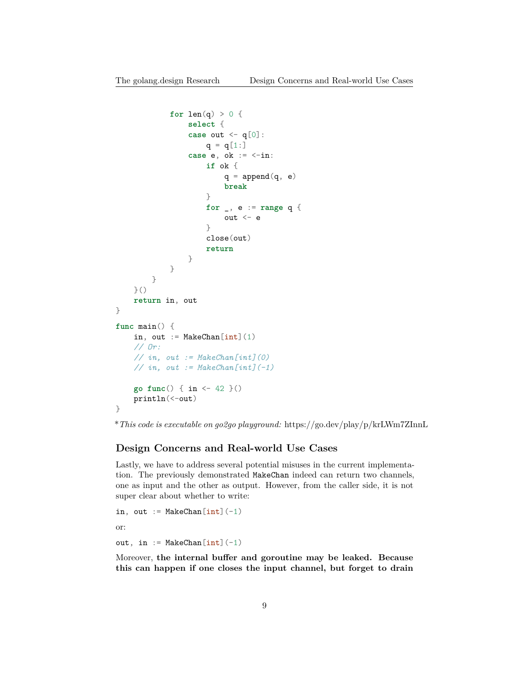```
for len(q) > 0 {
                select {
                case out \leq -q[0]:
                    q = q[1:]case e, ok := <-in:
                     if ok {
                         q = append(q, e)break
                     }
                    for _, e := range q {
                        out <-e}
                     close(out)
                     return
                }
            }
        }
    }()
    return in, out
}
func main() {
    in, out := MakeChan[int](1)// Or:
    // in, out := MakeChan[int](0)
    // in, out := MakeChan[int](-1)
    go func() { in <- 42 }()
    println(<-out)
}
```
\**This code is executable on go2go playground:* https://go.dev/play/p/krLWm7ZInnL

#### **Design Concerns and Real-world Use Cases**

Lastly, we have to address several potential misuses in the current implementation. The previously demonstrated MakeChan indeed can return two channels, one as input and the other as output. However, from the caller side, it is not super clear about whether to write:

```
in, out := MakeChan[int] (-1)or:
out, in := MakeChan[int](-1)
```
Moreover, **the internal buffer and goroutine may be leaked. Because this can happen if one closes the input channel, but forget to drain**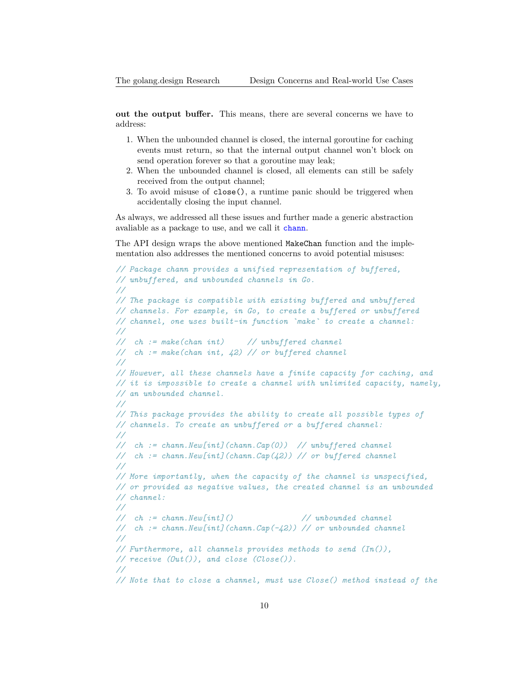**out the output buffer.** This means, there are several concerns we have to address:

- 1. When the unbounded channel is closed, the internal goroutine for caching events must return, so that the internal output channel won't block on send operation forever so that a goroutine may leak;
- 2. When the unbounded channel is closed, all elements can still be safely received from the output channel;
- 3. To avoid misuse of close(), a runtime panic should be triggered when accidentally closing the input channel.

As always, we addressed all these issues and further made a generic abstraction avaliable as a package to use, and we call it [chann](https://golang.design/s/chann).

The API design wraps the above mentioned MakeChan function and the implementation also addresses the mentioned concerns to avoid potential misuses:

```
// Package chann provides a unified representation of buffered,
// unbuffered, and unbounded channels in Go.
//
// The package is compatible with existing buffered and unbuffered
// channels. For example, in Go, to create a buffered or unbuffered
// channel, one uses built-in function `make` to create a channel:
//
// ch := make(chan int) // unbuffered channel
// ch := make(chan int, 42) // or buffered channel
//
// However, all these channels have a finite capacity for caching, and
// it is impossible to create a channel with unlimited capacity, namely,
// an unbounded channel.
//
// This package provides the ability to create all possible types of
// channels. To create an unbuffered or a buffered channel:
//
// ch := chann.New[int](chann.Cap(0)) // unbuffered channel
// ch := chann.New[int](chann.Cap(42)) // or buffered channel
//
// More importantly, when the capacity of the channel is unspecified,
// or provided as negative values, the created channel is an unbounded
// channel:
//
// ch := chann.New[int]() // unbounded channel
// ch := chann.New[int](chann.Cap(-42)) // or unbounded channel
//
// Furthermore, all channels provides methods to send (In()),
// receive (Out()), and close (Close()).
//
// Note that to close a channel, must use Close() method instead of the
```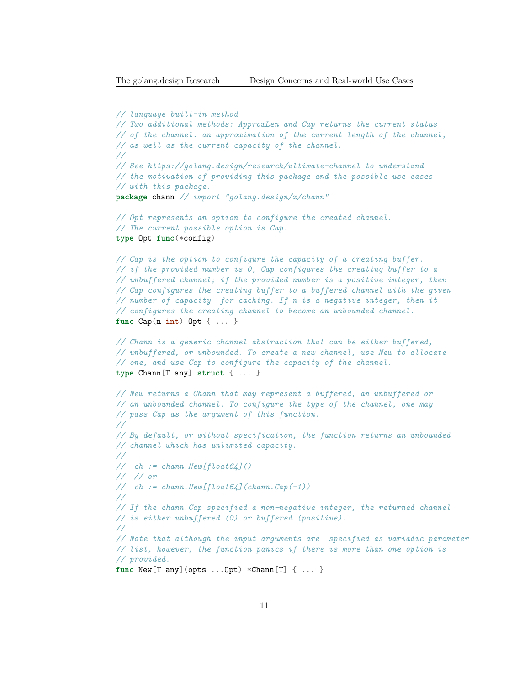```
// language built-in method
// Two additional methods: ApproxLen and Cap returns the current status
// of the channel: an approximation of the current length of the channel,
// as well as the current capacity of the channel.
//
// See https://golang.design/research/ultimate-channel to understand
// the motivation of providing this package and the possible use cases
// with this package.
package chann // import "golang.design/x/chann"
// Opt represents an option to configure the created channel.
// The current possible option is Cap.
type Opt func(*config)
// Cap is the option to configure the capacity of a creating buffer.
// if the provided number is 0, Cap configures the creating buffer to a
// unbuffered channel; if the provided number is a positive integer, then
// Cap configures the creating buffer to a buffered channel with the given
// number of capacity for caching. If n is a negative integer, then it
// configures the creating channel to become an unbounded channel.
func Cap(n int) Opt { ... }
// Chann is a generic channel abstraction that can be either buffered,
// unbuffered, or unbounded. To create a new channel, use New to allocate
// one, and use Cap to configure the capacity of the channel.
type Chann[T any] struct { ... }
// New returns a Chann that may represent a buffered, an unbuffered or
// an unbounded channel. To configure the type of the channel, one may
// pass Cap as the argument of this function.
//
// By default, or without specification, the function returns an unbounded
// channel which has unlimited capacity.
//
// ch := chann.New[float64]()
// // or
// ch := chann.New[float64](chann.Cap(-1))
//
// If the chann.Cap specified a non-negative integer, the returned channel
// is either unbuffered (0) or buffered (positive).
//
// Note that although the input arguments are specified as variadic parameter
// list, however, the function panics if there is more than one option is
// provided.
func New[T any](opts ...Opt) *Chann[T] { ... }
```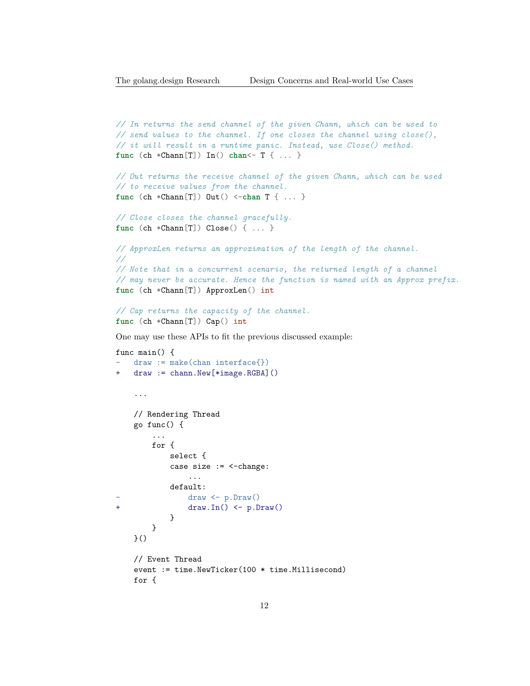```
// In returns the send channel of the given Chann, which can be used to
// send values to the channel. If one closes the channel using close(),
// it will result in a runtime panic. Instead, use Close() method.
func (ch *Chann[T]) In() chan<- T { ... }
// Out returns the receive channel of the given Chann, which can be used
// to receive values from the channel.
func (ch *Chann[T]) Out() <-chan T { ... }
// Close closes the channel gracefully.
func (ch *Chann[T]) Close() { ... }
// ApproxLen returns an approximation of the length of the channel.
//
// Note that in a concurrent scenario, the returned length of a channel
// may never be accurate. Hence the function is named with an Approx prefix.
func (ch *Chann[T]) ApproxLen() int
// Cap returns the capacity of the channel.
func (ch *Chann[T]) Cap() int
One may use these APIs to fit the previous discussed example:
func main() {
   draw := make(char interface})draw := chann. New[*image. RGBA]()...
    // Rendering Thread
   go func() {
        ...
```

```
for {
           select {
           case size := <-change:
               ...
           default:
               draw \leftarrow p.Draw()+ draw.In() <- p.Draw()
           }
       }
   }()
   // Event Thread
   event := time.NewTicker(100 * time.Millisecond)
   for {
```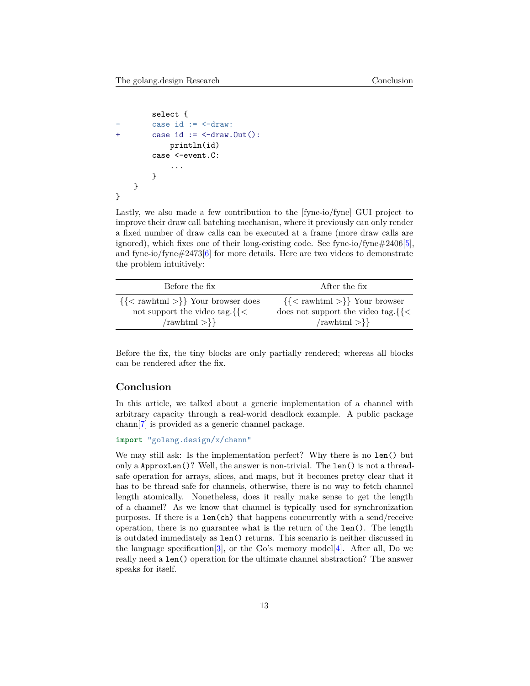```
select {
          case id := \leftarrow -draw:
+ case id := \leftarrow draw.Out():
              println(id)
          case <-event.C:
               ...
         }
    }
}
```
Lastly, we also made a few contribution to the [fyne-io/fyne] GUI project to improve their draw call batching mechanism, where it previously can only render a fixed number of draw calls can be executed at a frame (more draw calls are ignored), which fixes one of their long-existing code. See fyne-io/fyne#2406[\[5](#page-13-2)], and fyne-io/fyne $\#2473[6]$  $\#2473[6]$  for more details. Here are two videos to demonstrate the problem intuitively:

| Before the fix                              | After the fix                              |
|---------------------------------------------|--------------------------------------------|
| $\{\< \text{rawhtml} >\}$ Your browser does | $\{\< \text{rawhtml} >\}$ Your browser     |
| not support the video tag. $\{\}<$          | does not support the video tag. $\{\leq\}$ |
| $\{\text{rawhtml} >\}$                      | $\{\text{rawhtml} > \}\$                   |

Before the fix, the tiny blocks are only partially rendered; whereas all blocks can be rendered after the fix.

#### **Conclusion**

In this article, we talked about a generic implementation of a channel with arbitrary capacity through a real-world deadlock example. A public package chann[\[7](#page-13-4)] is provided as a generic channel package.

```
import "golang.design/x/chann"
```
We may still ask: Is the implementation perfect? Why there is no len() but only a ApproxLen()? Well, the answer is non-trivial. The len() is not a threadsafe operation for arrays, slices, and maps, but it becomes pretty clear that it has to be thread safe for channels, otherwise, there is no way to fetch channel length atomically. Nonetheless, does it really make sense to get the length of a channel? As we know that channel is typically used for synchronization purposes. If there is a len(ch) that happens concurrently with a send/receive operation, there is no guarantee what is the return of the len(). The length is outdated immediately as len() returns. This scenario is neither discussed in the language specification  $[3]$  $[3]$ , or the Go's memory model  $[4]$  $[4]$ . After all, Do we really need a len() operation for the ultimate channel abstraction? The answer speaks for itself.